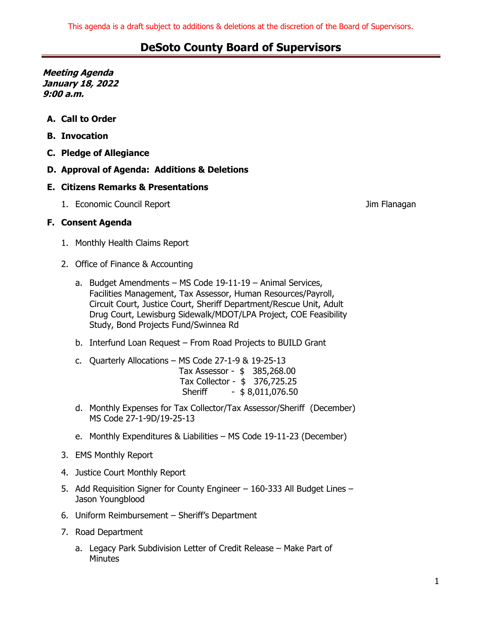**Meeting Agenda January 18, 2022 9:00 a.m.**

- **A. Call to Order**
- **B. Invocation**
- **C. Pledge of Allegiance**
- **D. Approval of Agenda: Additions & Deletions**

### **E. Citizens Remarks & Presentations**

1. Economic Council Report **Council Report** All Council Assessment Council Report All Council Assessment Council A

### **F. Consent Agenda**

- 1. Monthly Health Claims Report
- 2. Office of Finance & Accounting
	- a. Budget Amendments MS Code 19-11-19 Animal Services, Facilities Management, Tax Assessor, Human Resources/Payroll, Circuit Court, Justice Court, Sheriff Department/Rescue Unit, Adult Drug Court, Lewisburg Sidewalk/MDOT/LPA Project, COE Feasibility Study, Bond Projects Fund/Swinnea Rd
	- b. Interfund Loan Request From Road Projects to BUILD Grant
	- c. Quarterly Allocations MS Code 27-1-9 & 19-25-13 Tax Assessor - \$ 385,268.00 Tax Collector - \$ 376,725.25 Sheriff - \$8,011,076.50
	- d. Monthly Expenses for Tax Collector/Tax Assessor/Sheriff (December) MS Code 27-1-9D/19-25-13
	- e. Monthly Expenditures & Liabilities MS Code 19-11-23 (December)
- 3. EMS Monthly Report
- 4. Justice Court Monthly Report
- 5. Add Requisition Signer for County Engineer 160-333 All Budget Lines Jason Youngblood
- 6. Uniform Reimbursement Sheriff's Department
- 7. Road Department
	- a. Legacy Park Subdivision Letter of Credit Release Make Part of Minutes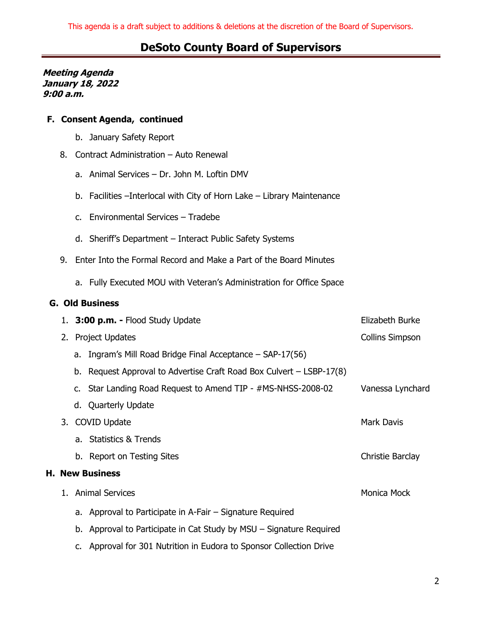**Meeting Agenda January 18, 2022 9:00 a.m.**

### **F. Consent Agenda, continued**

- b. January Safety Report
- 8. Contract Administration Auto Renewal
	- a. Animal Services Dr. John M. Loftin DMV
	- b. Facilities –Interlocal with City of Horn Lake Library Maintenance
	- c. Environmental Services Tradebe
	- d. Sheriff's Department Interact Public Safety Systems
- 9. Enter Into the Formal Record and Make a Part of the Board Minutes
	- a. Fully Executed MOU with Veteran's Administration for Office Space

### **G. Old Business**

|  |                        | 1. 3:00 p.m. - Flood Study Update                                      | Elizabeth Burke        |  |
|--|------------------------|------------------------------------------------------------------------|------------------------|--|
|  | 2. Project Updates     |                                                                        | <b>Collins Simpson</b> |  |
|  |                        | a. Ingram's Mill Road Bridge Final Acceptance $-$ SAP-17(56)           |                        |  |
|  |                        | b. Request Approval to Advertise Craft Road Box Culvert $-$ LSBP-17(8) |                        |  |
|  |                        | c. Star Landing Road Request to Amend TIP - #MS-NHSS-2008-02           | Vanessa Lynchard       |  |
|  |                        | d. Quarterly Update                                                    |                        |  |
|  | 3. COVID Update        |                                                                        | <b>Mark Davis</b>      |  |
|  |                        | a. Statistics & Trends                                                 |                        |  |
|  |                        | b. Report on Testing Sites                                             | Christie Barclay       |  |
|  | <b>H. New Business</b> |                                                                        |                        |  |
|  |                        | 1. Animal Services                                                     | Monica Mock            |  |
|  |                        | a. Approval to Participate in A-Fair – Signature Required              |                        |  |
|  |                        | b. Approval to Participate in Cat Study by MSU – Signature Required    |                        |  |
|  |                        | c. Approval for 301 Nutrition in Eudora to Sponsor Collection Drive    |                        |  |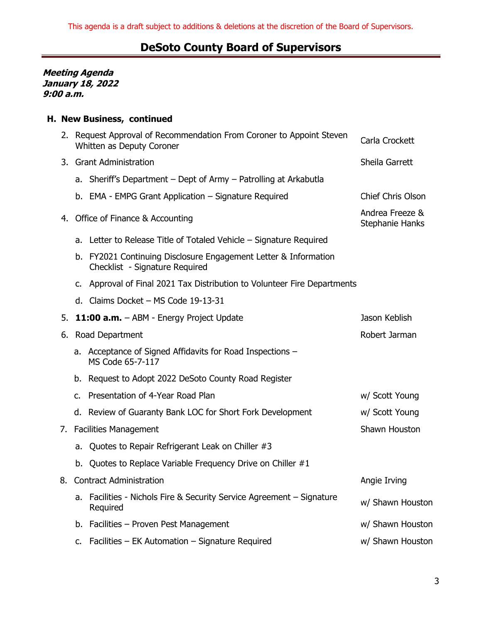**Meeting Agenda January 18, 2022 9:00 a.m.**

### **H. New Business, continued**

|    |                                               | 2. Request Approval of Recommendation From Coroner to Appoint Steven<br>Whitten as Deputy Coroner | Carla Crockett                     |  |  |
|----|-----------------------------------------------|---------------------------------------------------------------------------------------------------|------------------------------------|--|--|
|    |                                               | 3. Grant Administration                                                                           | Sheila Garrett                     |  |  |
|    |                                               | a. Sheriff's Department – Dept of Army – Patrolling at Arkabutla                                  |                                    |  |  |
|    |                                               | b. EMA - EMPG Grant Application – Signature Required                                              | <b>Chief Chris Olson</b>           |  |  |
|    |                                               | 4. Office of Finance & Accounting                                                                 | Andrea Freeze &<br>Stephanie Hanks |  |  |
|    |                                               | a. Letter to Release Title of Totaled Vehicle – Signature Required                                |                                    |  |  |
|    |                                               | b. FY2021 Continuing Disclosure Engagement Letter & Information<br>Checklist - Signature Required |                                    |  |  |
|    |                                               | c. Approval of Final 2021 Tax Distribution to Volunteer Fire Departments                          |                                    |  |  |
|    |                                               | d. Claims Docket - MS Code 19-13-31                                                               |                                    |  |  |
| 5. |                                               | 11:00 a.m. - ABM - Energy Project Update                                                          | Jason Keblish                      |  |  |
|    |                                               | 6. Road Department                                                                                | Robert Jarman                      |  |  |
|    |                                               | a. Acceptance of Signed Affidavits for Road Inspections -<br>MS Code 65-7-117                     |                                    |  |  |
|    |                                               | b. Request to Adopt 2022 DeSoto County Road Register                                              |                                    |  |  |
|    |                                               | c. Presentation of 4-Year Road Plan                                                               | w/ Scott Young                     |  |  |
|    |                                               | d. Review of Guaranty Bank LOC for Short Fork Development                                         | w/ Scott Young                     |  |  |
| 7. | Shawn Houston<br><b>Facilities Management</b> |                                                                                                   |                                    |  |  |
|    | а.                                            | Quotes to Repair Refrigerant Leak on Chiller #3                                                   |                                    |  |  |
|    |                                               | b. Quotes to Replace Variable Frequency Drive on Chiller #1                                       |                                    |  |  |
|    |                                               | 8. Contract Administration                                                                        | Angie Irving                       |  |  |
|    | a.                                            | Facilities - Nichols Fire & Security Service Agreement - Signature<br>Required                    | w/ Shawn Houston                   |  |  |
|    |                                               | b. Facilities - Proven Pest Management                                                            | w/ Shawn Houston                   |  |  |
|    |                                               | Facilities - EK Automation - Signature Required                                                   | w/ Shawn Houston                   |  |  |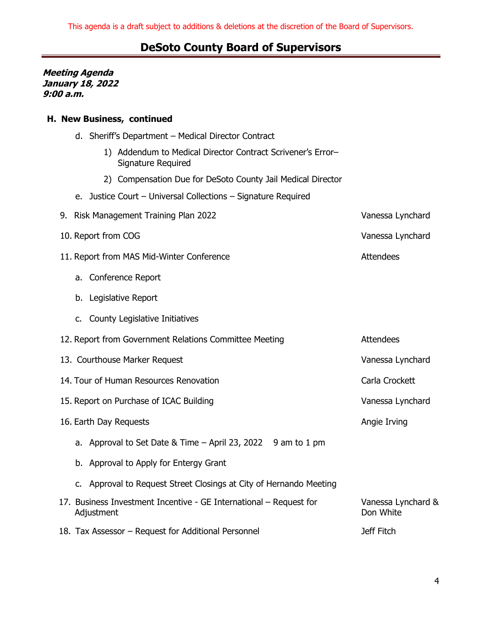**Meeting Agenda January 18, 2022 9:00 a.m.**

### **H. New Business, continued**

- d. Sheriff's Department Medical Director Contract
	- 1) Addendum to Medical Director Contract Scrivener's Error– Signature Required
	- 2) Compensation Due for DeSoto County Jail Medical Director
- e. Justice Court Universal Collections Signature Required
- 9. Risk Management Training Plan 2022 Vanessa Lynchard 10. Report from COG Vanessa Lynchard
- 11. Report from MAS Mid-Winter Conference Attendees
	- a. Conference Report
	- b. Legislative Report
	- c. County Legislative Initiatives
- 12. Report from Government Relations Committee Meeting Theorem 2. Attendees
- 13. Courthouse Marker Request **Vanessa Lynchard**
- 14. Tour of Human Resources Renovation **Carla Crockett** Carla Crockett
- 15. Report on Purchase of ICAC Building Vanessa Lynchard
- 16. Earth Day Requests **Angie Irving** 
	- a. Approval to Set Date & Time  $-$  April 23, 2022 9 am to 1 pm
	- b. Approval to Apply for Entergy Grant
	- c. Approval to Request Street Closings at City of Hernando Meeting
- 17. Business Investment Incentive GE International Request for Adjustment Vanessa Lynchard & Don White
- 18. Tax Assessor Request for Additional Personnel Jeff Fitch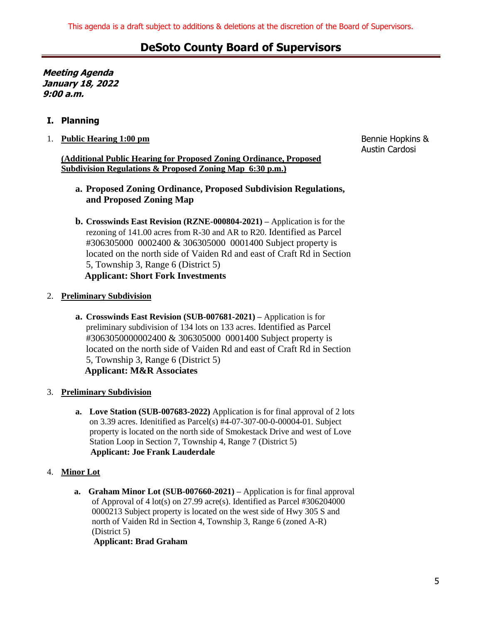**Meeting Agenda January 18, 2022 9:00 a.m.**

### **I. Planning**

### 1. **Public Hearing 1:00 pm**

### **(Additional Public Hearing for Proposed Zoning Ordinance, Proposed Subdivision Regulations & Proposed Zoning Map 6:30 p.m.)**

Bennie Hopkins & Austin Cardosi

- **a. Proposed Zoning Ordinance, Proposed Subdivision Regulations, and Proposed Zoning Map**
- **b. Crosswinds East Revision (RZNE-000804-2021) –** Application is for the rezoning of 141.00 acres from R-30 and AR to R20. Identified as Parcel #306305000 0002400 & 306305000 0001400 Subject property is located on the north side of Vaiden Rd and east of Craft Rd in Section 5, Township 3, Range 6 (District 5)  **Applicant: Short Fork Investments**
- 2. **Preliminary Subdivision**
	- **a. Crosswinds East Revision (SUB-007681-2021) –** Application is for preliminary subdivision of 134 lots on 133 acres. Identified as Parcel #3063050000002400 & 306305000 0001400 Subject property is located on the north side of Vaiden Rd and east of Craft Rd in Section 5, Township 3, Range 6 (District 5)  **Applicant: M&R Associates**
- 3. **Preliminary Subdivision**
	- **a. Love Station (SUB-007683-2022)** Application is for final approval of 2 lots on 3.39 acres. Idenitified as Parcel(s) #4-07-307-00-0-00004-01. Subject property is located on the north side of Smokestack Drive and west of Love Station Loop in Section 7, Township 4, Range 7 (District 5)  **Applicant: Joe Frank Lauderdale**

### 4. **Minor Lot**

**a. Graham Minor Lot (SUB-007660-2021) –** Application is for final approval of Approval of 4 lot(s) on 27.99 acre(s). Identified as Parcel #306204000 0000213 Subject property is located on the west side of Hwy 305 S and north of Vaiden Rd in Section 4, Township 3, Range 6 (zoned A-R) (District 5)

 **Applicant: Brad Graham**